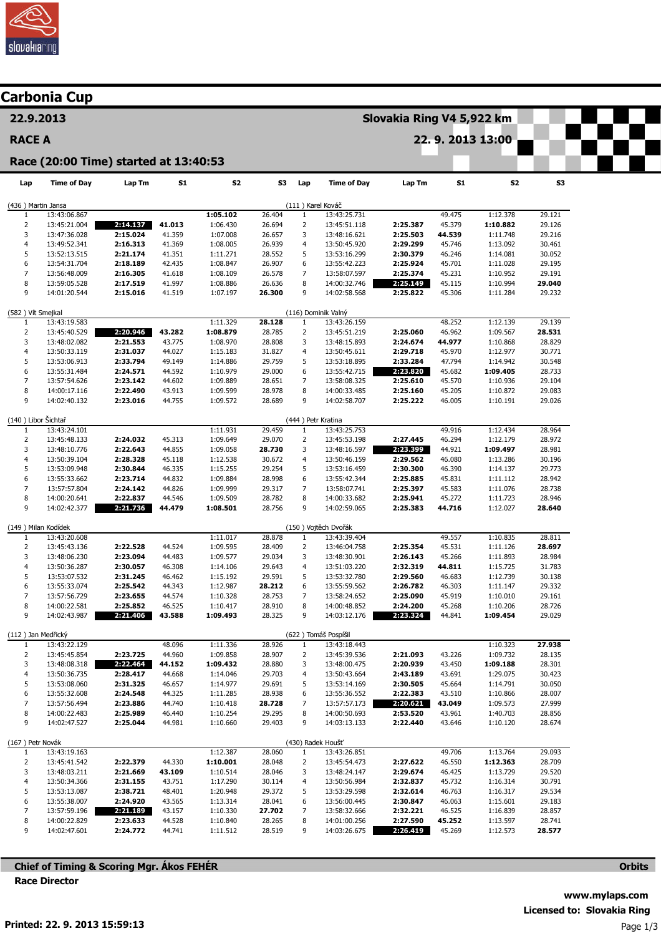

|                                          | Carbonia Cup                          |                      |                  |                      |                  |                     |                              |                      |                  |                      |                  |  |  |  |
|------------------------------------------|---------------------------------------|----------------------|------------------|----------------------|------------------|---------------------|------------------------------|----------------------|------------------|----------------------|------------------|--|--|--|
| 22.9.2013                                |                                       |                      |                  |                      |                  |                     | Slovakia Ring V4 5,922 km    |                      |                  |                      |                  |  |  |  |
| <b>RACE A</b>                            |                                       |                      |                  |                      |                  | 22.9.2013 13:00     |                              |                      |                  |                      |                  |  |  |  |
|                                          | Race (20:00 Time) started at 13:40:53 |                      |                  |                      |                  |                     |                              |                      |                  |                      |                  |  |  |  |
| Lap                                      | <b>Time of Day</b>                    | Lap Tm               | <b>S1</b>        | S <sub>2</sub>       | 53               | Lap                 | <b>Time of Day</b>           | Lap Tm               | <b>S1</b>        | S2                   | S3               |  |  |  |
| (436) Martin Jansa                       |                                       |                      |                  |                      |                  |                     | (111) Karel Kováč            |                      |                  |                      |                  |  |  |  |
| 1                                        | 13:43:06.867                          |                      |                  | 1:05.102             | 26.404           | $\mathbf{1}$        | 13:43:25.731                 |                      | 49.475           | 1:12.378             | 29.121           |  |  |  |
| 2                                        | 13:45:21.004                          | 2:14.137             | 41.013           | 1:06.430             | 26.694           | $\overline{2}$      | 13:45:51.118                 | 2:25.387             | 45.379           | 1:10.882             | 29.126           |  |  |  |
| 3<br>$\overline{4}$                      | 13:47:36.028<br>13:49:52.341          | 2:15.024<br>2:16.313 | 41.359<br>41.369 | 1:07.008<br>1:08.005 | 26.657<br>26.939 | 3<br>4              | 13:48:16.621<br>13:50:45.920 | 2:25.503<br>2:29.299 | 44.539<br>45.746 | 1:11.748<br>1:13.092 | 29.216<br>30.461 |  |  |  |
| 5                                        | 13:52:13.515                          | 2:21.174             | 41.351           | 1:11.271             | 28.552           | 5                   | 13:53:16.299                 | 2:30.379             | 46.246           | 1:14.081             | 30.052           |  |  |  |
| 6                                        | 13:54:31.704                          | 2:18.189             | 42.435           | 1:08.847             | 26.907           | 6                   | 13:55:42.223                 | 2:25.924             | 45.701           | 1:11.028             | 29.195           |  |  |  |
| $\overline{7}$                           | 13:56:48.009                          | 2:16.305             | 41.618           | 1:08.109             | 26.578           | $\overline{7}$      | 13:58:07.597                 | 2:25.374             | 45.231           | 1:10.952             | 29.191           |  |  |  |
| 8                                        | 13:59:05.528                          | 2:17.519             | 41.997           | 1:08.886             | 26.636           | 8                   | 14:00:32.746                 | 2:25.149             | 45.115           | 1:10.994             | 29.040           |  |  |  |
| 9                                        | 14:01:20.544                          | 2:15.016             | 41.519           | 1:07.197             | 26.300           | 9                   | 14:02:58.568                 | 2:25.822             | 45.306           | 1:11.284             | 29.232           |  |  |  |
| (116) Dominik Valný<br>(582) Vít Smejkal |                                       |                      |                  |                      |                  |                     |                              |                      |                  |                      |                  |  |  |  |
| 1                                        | 13:43:19.583                          |                      |                  | 1:11.329             | 28.128           | $\mathbf{1}$        | 13:43:26.159                 |                      | 48.252           | 1:12.139             | 29.139           |  |  |  |
| $\overline{2}$                           | 13:45:40.529                          | 2:20.946             | 43.282           | 1:08.879             | 28.785           | $\overline{2}$      | 13:45:51.219                 | 2:25.060             | 46.962           | 1:09.567             | 28.531           |  |  |  |
| 3                                        | 13:48:02.082                          | 2:21.553             | 43.775           | 1:08.970             | 28.808           | 3                   | 13:48:15.893                 | 2:24.674             | 44.977           | 1:10.868             | 28.829           |  |  |  |
| $\overline{4}$<br>5                      | 13:50:33.119                          | 2:31.037             | 44.027           | 1:15.183             | 31.827<br>29.759 | 4<br>5              | 13:50:45.611                 | 2:29.718<br>2:33.284 | 45.970<br>47.794 | 1:12.977             | 30.771<br>30.548 |  |  |  |
| 6                                        | 13:53:06.913<br>13:55:31.484          | 2:33.794<br>2:24.571 | 49.149<br>44.592 | 1:14.886<br>1:10.979 | 29.000           | 6                   | 13:53:18.895<br>13:55:42.715 | 2:23.820             | 45.682           | 1:14.942<br>1:09.405 | 28.733           |  |  |  |
| $\overline{7}$                           | 13:57:54.626                          | 2:23.142             | 44.602           | 1:09.889             | 28.651           | 7                   | 13:58:08.325                 | 2:25.610             | 45.570           | 1:10.936             | 29.104           |  |  |  |
| 8                                        | 14:00:17.116                          | 2:22.490             | 43.913           | 1:09.599             | 28.978           | 8                   | 14:00:33.485                 | 2:25.160             | 45.205           | 1:10.872             | 29.083           |  |  |  |
| 9                                        | 14:02:40.132                          | 2:23.016             | 44.755           | 1:09.572             | 28.689           | 9                   | 14:02:58.707                 | 2:25.222             | 46.005           | 1:10.191             | 29.026           |  |  |  |
| (140) Libor Šichtař                      |                                       |                      |                  |                      |                  |                     | (444) Petr Kratina           |                      |                  |                      |                  |  |  |  |
| 1                                        | 13:43:24.101                          |                      |                  | 1:11.931             | 29.459           | $\mathbf{1}$        | 13:43:25.753                 |                      | 49.916           | 1:12.434             | 28.964           |  |  |  |
| 2                                        | 13:45:48.133                          | 2:24.032             | 45.313           | 1:09.649             | 29.070           | $\overline{2}$      | 13:45:53.198                 | 2:27.445             | 46.294           | 1:12.179             | 28.972           |  |  |  |
| 3<br>4                                   | 13:48:10.776<br>13:50:39.104          | 2:22.643<br>2:28.328 | 44.855<br>45.118 | 1:09.058<br>1:12.538 | 28.730<br>30.672 | 3<br>4              | 13:48:16.597<br>13:50:46.159 | 2:23.399<br>2:29.562 | 44.921<br>46.080 | 1:09.497<br>1:13.286 | 28.981<br>30.196 |  |  |  |
| 5                                        | 13:53:09.948                          | 2:30.844             | 46.335           | 1:15.255             | 29.254           | 5                   | 13:53:16.459                 | 2:30.300             | 46.390           | 1:14.137             | 29.773           |  |  |  |
| 6                                        | 13:55:33.662                          | 2:23.714             | 44.832           | 1:09.884             | 28.998           | 6                   | 13:55:42.344                 | 2:25.885             | 45.831           | 1:11.112             | 28.942           |  |  |  |
| $\overline{7}$                           | 13:57:57.804                          | 2:24.142             | 44.826           | 1:09.999             | 29.317           | 7                   | 13:58:07.741                 | 2:25.397             | 45.583           | 1:11.076             | 28.738           |  |  |  |
| 8                                        | 14:00:20.641                          | 2:22.837             | 44.546           | 1:09.509             | 28.782           | 8                   | 14:00:33.682                 | 2:25.941             | 45.272           | 1:11.723             | 28.946           |  |  |  |
| 9                                        | 14:02:42.377                          | 2:21.736             | 44.479           | 1:08.501             | 28.756           | 9                   | 14:02:59.065                 | 2:25.383             | 44.716           | 1:12.027             | 28.640           |  |  |  |
| (149) Milan Kodídek                      |                                       |                      |                  |                      |                  |                     | (150) Vojtěch Dvořák         |                      |                  |                      |                  |  |  |  |
| 1                                        | 13:43:20.608                          |                      |                  | 1:11.017             | 28.878           | $\mathbf{1}$        | 13:43:39.404                 |                      | 49.557           | 1:10.835             | 28.811           |  |  |  |
| $\overline{2}$<br>3                      | 13:45:43.136<br>13:48:06.230          | 2:22.528<br>2:23.094 | 44.524<br>44.483 | 1:09.595<br>1:09.577 | 28.409<br>29.034 | $\overline{2}$<br>3 | 13:46:04.758<br>13:48:30.901 | 2:25.354<br>2:26.143 | 45.531<br>45.266 | 1:11.126<br>1:11.893 | 28.697<br>28.984 |  |  |  |
| $\overline{4}$                           | 13:50:36.287                          | 2:30.057             | 46.308           | 1:14.106             | 29.643           | $\overline{4}$      | 13:51:03.220                 | 2:32.319             | 44.811           | 1:15.725             | 31.783           |  |  |  |
| 5                                        | 13:53:07.532                          | 2:31.245             | 46.462           | 1:15.192             | 29.591           | 5                   | 13:53:32.780                 | 2:29.560             | 46.683           | 1:12.739             | 30.138           |  |  |  |
|                                          | 13:55:33.074                          | 2:25.542             | 44.343           | 1:12.987             | 28.212           |                     | 13:55:59.562                 | 2:26.782             | 46.303           | 1:11.147             | 29.332           |  |  |  |
| 7                                        | 13:57:56.729                          | 2:23.655             | 44.574           | 1:10.328             | 28.753           | 7                   | 13:58:24.652                 | 2:25.090             | 45.919           | 1:10.010             | 29.161           |  |  |  |
| 8                                        | 14:00:22.581                          | 2:25.852             | 46.525           | 1:10.417             | 28.910           | 8                   | 14:00:48.852                 | 2:24.200             | 45.268           | 1:10.206             | 28.726           |  |  |  |
| 9                                        | 14:02:43.987                          | 2:21.406             | 43.588           | 1:09.493             | 28.325           | 9                   | 14:03:12.176                 | 2:23.324             | 44.841           | 1:09.454             | 29.029           |  |  |  |
| (112) Jan Medřický                       |                                       |                      |                  |                      |                  |                     | (622) Tomáš Pospíšil         |                      |                  |                      |                  |  |  |  |
| $\mathbf{1}$<br>$\overline{2}$           | 13:43:22.129<br>13:45:45.854          | 2:23.725             | 48.096<br>44.960 | 1:11.336<br>1:09.858 | 28.926<br>28.907 | $\mathbf{1}$<br>2   | 13:43:18.443<br>13:45:39.536 | 2:21.093             | 43.226           | 1:10.323<br>1:09.732 | 27.938<br>28.135 |  |  |  |
| 3                                        | 13:48:08.318                          | 2:22.464             | 44.152           | 1:09.432             | 28.880           | 3                   | 13:48:00.475                 | 2:20.939             | 43.450           | 1:09.188             | 28.301           |  |  |  |
| 4                                        | 13:50:36.735                          | 2:28.417             | 44.668           | 1:14.046             | 29.703           | 4                   | 13:50:43.664                 | 2:43.189             | 43.691           | 1:29.075             | 30.423           |  |  |  |
| 5                                        | 13:53:08.060                          | 2:31.325             | 46.657           | 1:14.977             | 29.691           | 5                   | 13:53:14.169                 | 2:30.505             | 45.664           | 1:14.791             | 30.050           |  |  |  |
| 6                                        | 13:55:32.608                          | 2:24.548             | 44.325           | 1:11.285             | 28.938           | 6                   | 13:55:36.552                 | 2:22.383             | 43.510           | 1:10.866             | 28.007           |  |  |  |
| 7                                        | 13:57:56.494                          | 2:23.886             | 44.740           | 1:10.418             | 28.728           | 7                   | 13:57:57.173                 | 2:20.621             | 43.049           | 1:09.573             | 27.999           |  |  |  |
| 8<br>9                                   | 14:00:22.483<br>14:02:47.527          | 2:25.989<br>2:25.044 | 46.440<br>44.981 | 1:10.254<br>1:10.660 | 29.295<br>29.403 | 8<br>9              | 14:00:50.693<br>14:03:13.133 | 2:53.520<br>2:22.440 | 43.961<br>43.646 | 1:40.703<br>1:10.120 | 28.856<br>28.674 |  |  |  |
|                                          |                                       |                      |                  |                      |                  |                     |                              |                      |                  |                      |                  |  |  |  |
| (167) Petr Novák                         |                                       |                      |                  |                      |                  |                     | (430) Radek Houšť            |                      |                  |                      |                  |  |  |  |
| 1<br>2                                   | 13:43:19.163<br>13:45:41.542          | 2:22.379             | 44.330           | 1:12.387<br>1:10.001 | 28.060<br>28.048 | 1<br>2              | 13:43:26.851<br>13:45:54.473 | 2:27.622             | 49.706<br>46.550 | 1:13.764<br>1:12.363 | 29.093<br>28.709 |  |  |  |
| 3                                        | 13:48:03.211                          | 2:21.669             | 43.109           | 1:10.514             | 28.046           | 3                   | 13:48:24.147                 | 2:29.674             | 46.425           | 1:13.729             | 29.520           |  |  |  |
| $\overline{4}$                           | 13:50:34.366                          | 2:31.155             | 43.751           | 1:17.290             | 30.114           | 4                   | 13:50:56.984                 | 2:32.837             | 45.732           | 1:16.314             | 30.791           |  |  |  |
| 5                                        | 13:53:13.087                          | 2:38.721             | 48.401           | 1:20.948             | 29.372           | 5                   | 13:53:29.598                 | 2:32.614             | 46.763           | 1:16.317             | 29.534           |  |  |  |
| 6                                        | 13:55:38.007                          | 2:24.920             | 43.565           | 1:13.314             | 28.041           | 6                   | 13:56:00.445                 | 2:30.847             | 46.063           | 1:15.601             | 29.183           |  |  |  |
| 7                                        | 13:57:59.196                          | 2:21.189             | 43.157           | 1:10.330             | 27.702           | 7                   | 13:58:32.666                 | 2:32.221             | 46.525           | 1:16.839             | 28.857           |  |  |  |
| 8                                        | 14:00:22.829                          | 2:23.633             | 44.528           | 1:10.840             | 28.265           | 8                   | 14:01:00.256                 | 2:27.590             | 45.252           | 1:13.597             | 28.741           |  |  |  |
| 9                                        | 14:02:47.601                          | 2:24.772             | 44.741           | 1:11.512             | 28.519           | 9                   | 14:03:26.675                 | 2:26.419             | 45.269           | 1:12.573             | 28.577           |  |  |  |

Chief of Timing & Scoring Mgr. Ákos FEHÉR Race Director

**Orbits**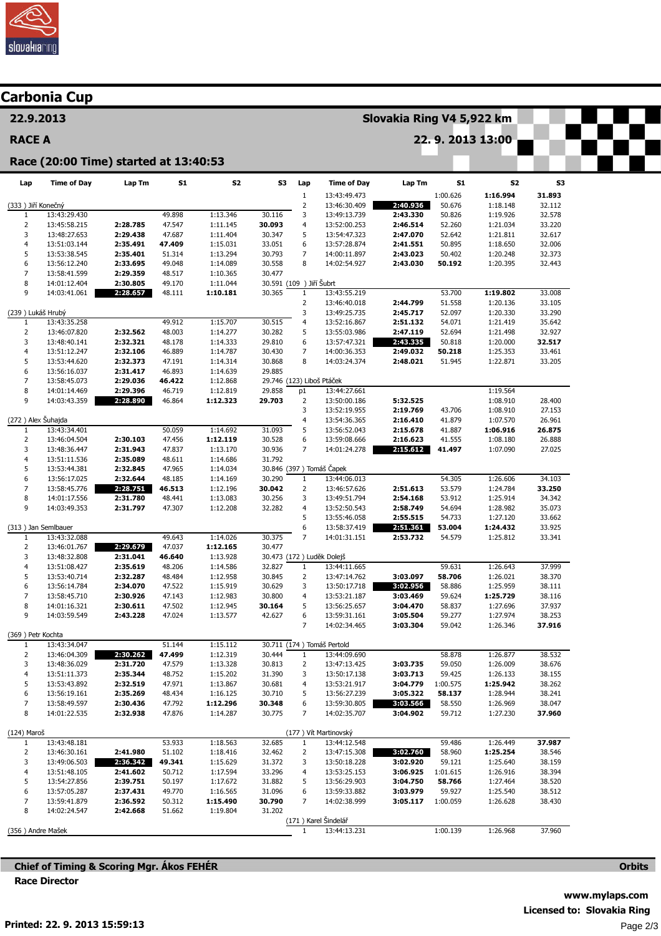

| <b>Carbonia Cup</b>    |                              |                                       |                  |                      |                                     |                                |                                      |                      |                    |                      |                  |  |  |  |
|------------------------|------------------------------|---------------------------------------|------------------|----------------------|-------------------------------------|--------------------------------|--------------------------------------|----------------------|--------------------|----------------------|------------------|--|--|--|
| 22.9.2013              |                              |                                       |                  |                      |                                     |                                | Slovakia Ring V4 5,922 km            |                      |                    |                      |                  |  |  |  |
| <b>RACE A</b>          |                              |                                       |                  |                      | 22.9.2013 13:00                     |                                |                                      |                      |                    |                      |                  |  |  |  |
|                        |                              | Race (20:00 Time) started at 13:40:53 |                  |                      |                                     |                                |                                      |                      |                    |                      |                  |  |  |  |
| Lap                    | <b>Time of Day</b>           | Lap Tm                                | <b>S1</b>        | S <sub>2</sub>       | S3                                  | Lap                            | <b>Time of Day</b>                   | Lap Tm               | S1                 | S2                   | S3               |  |  |  |
| (333) Jiří Konečný     |                              |                                       |                  |                      |                                     | $\mathbf 1$<br>$\mathsf 2$     | 13:43:49.473<br>13:46:30.409         | 2:40.936             | 1:00.626<br>50.676 | 1:16.994<br>1:18.148 | 31.893<br>32.112 |  |  |  |
| 1                      | 13:43:29.430                 |                                       | 49.898           | 1:13.346             | 30.116                              | 3                              | 13:49:13.739                         | 2:43.330             | 50.826             | 1:19.926             | 32.578           |  |  |  |
| $\overline{2}$         | 13:45:58.215                 | 2:28.785                              | 47.547           | 1:11.145             | 30.093                              | 4                              | 13:52:00.253                         | 2:46.514             | 52.260             | 1:21.034             | 33.220           |  |  |  |
| 3                      | 13:48:27.653                 | 2:29.438                              | 47.687           | 1:11.404             | 30.347                              | 5                              | 13:54:47.323                         | 2:47.070             | 52.642             | 1:21.811             | 32.617           |  |  |  |
| 4<br>5                 | 13:51:03.144<br>13:53:38.545 | 2:35.491<br>2:35.401                  | 47.409<br>51.314 | 1:15.031<br>1:13.294 | 33.051<br>30.793                    | 6<br>7                         | 13:57:28.874<br>14:00:11.897         | 2:41.551<br>2:43.023 | 50.895<br>50.402   | 1:18.650<br>1:20.248 | 32.006<br>32.373 |  |  |  |
| 6                      | 13:56:12.240                 | 2:33.695                              | 49.048           | 1:14.089             | 30.558                              | 8                              | 14:02:54.927                         | 2:43.030             | 50.192             | 1:20.395             | 32.443           |  |  |  |
| $\overline{7}$         | 13:58:41.599                 | 2:29.359                              | 48.517           | 1:10.365             | 30.477                              |                                |                                      |                      |                    |                      |                  |  |  |  |
| 8                      | 14:01:12.404                 | 2:30.805                              | 49.170           | 1:11.044             | 30.591 (109 ) Jiří Šubrt            |                                |                                      |                      |                    |                      |                  |  |  |  |
| 9                      | 14:03:41.061                 | 2:28.657                              | 48.111           | 1:10.181             | 30.365                              | $\mathbf{1}$                   | 13:43:55.219                         |                      | 53.700             | 1:19.802             | 33.008           |  |  |  |
|                        |                              |                                       |                  |                      |                                     | $\overline{2}$<br>3            | 13:46:40.018<br>13:49:25.735         | 2:44.799<br>2:45.717 | 51.558<br>52.097   | 1:20.136<br>1:20.330 | 33.105<br>33.290 |  |  |  |
| (239) Lukáš Hrubý<br>1 | 13:43:35.258                 |                                       | 49.912           | 1:15.707             | 30.515                              | 4                              | 13:52:16.867                         | 2:51.132             | 54.071             | 1:21.419             | 35.642           |  |  |  |
| $\overline{2}$         | 13:46:07.820                 | 2:32.562                              | 48.003           | 1:14.277             | 30.282                              | 5                              | 13:55:03.986                         | 2:47.119             | 52.694             | 1:21.498             | 32.927           |  |  |  |
| 3                      | 13:48:40.141                 | 2:32.321                              | 48.178           | 1:14.333             | 29.810                              | 6                              | 13:57:47.321                         | 2:43.335             | 50.818             | 1:20.000             | 32.517           |  |  |  |
| $\overline{4}$         | 13:51:12.247                 | 2:32.106                              | 46.889           | 1:14.787             | 30.430                              | $\overline{7}$                 | 14:00:36.353                         | 2:49.032             | 50.218             | 1:25.353             | 33.461           |  |  |  |
| 5                      | 13:53:44.620                 | 2:32.373                              | 47.191           | 1:14.314             | 30.868                              | 8                              | 14:03:24.374                         | 2:48.021             | 51.945             | 1:22.871             | 33.205           |  |  |  |
| 6<br>$\overline{7}$    | 13:56:16.037<br>13:58:45.073 | 2:31.417<br>2:29.036                  | 46.893<br>46.422 | 1:14.639<br>1:12.868 | 29.885<br>29.746 (123) Liboš Ptáček |                                |                                      |                      |                    |                      |                  |  |  |  |
| 8                      | 14:01:14.469                 | 2:29.396                              | 46.719           | 1:12.819             | 29.858                              | p1                             | 13:44:27.661                         |                      |                    | 1:19.564             |                  |  |  |  |
| 9                      | 14:03:43.359                 | 2:28.890                              | 46.864           | 1:12.323             | 29.703                              | $\overline{2}$                 | 13:50:00.186                         | 5:32.525             |                    | 1:08.910             | 28.400           |  |  |  |
|                        |                              |                                       |                  |                      |                                     | 3                              | 13:52:19.955                         | 2:19.769             | 43.706             | 1:08.910             | 27.153           |  |  |  |
| (272) Alex Šuhajda     |                              |                                       |                  |                      |                                     | 4                              | 13:54:36.365                         | 2:16.410             | 41.879             | 1:07.570             | 26.961           |  |  |  |
| 1<br>$\overline{2}$    | 13:43:34.401<br>13:46:04.504 | 2:30.103                              | 50.059<br>47.456 | 1:14.692<br>1:12.119 | 31.093<br>30.528                    | 5<br>6                         | 13:56:52.043<br>13:59:08.666         | 2:15.678<br>2:16.623 | 41.887<br>41.555   | 1:06.916<br>1:08.180 | 26.875<br>26.888 |  |  |  |
| 3                      | 13:48:36.447                 | 2:31.943                              | 47.837           | 1:13.170             | 30.936                              | $\overline{7}$                 | 14:01:24.278                         | 2:15.612             | 41.497             | 1:07.090             | 27.025           |  |  |  |
| $\overline{4}$         | 13:51:11.536                 | 2:35.089                              | 48.611           | 1:14.686             | 31.792                              |                                |                                      |                      |                    |                      |                  |  |  |  |
| 5                      | 13:53:44.381                 | 2:32.845                              | 47.965           | 1:14.034             |                                     |                                | 30.846 (397) Tomáš Čapek             |                      |                    |                      |                  |  |  |  |
| 6                      | 13:56:17.025                 | 2:32.644                              | 48.185           | 1:14.169             | 30.290                              | $\mathbf{1}$                   | 13:44:06.013                         |                      | 54.305             | 1:26.606             | 34.103           |  |  |  |
| $\overline{7}$<br>8    | 13:58:45.776<br>14:01:17.556 | 2:28.751<br>2:31.780                  | 46.513<br>48.441 | 1:12.196<br>1:13.083 | 30.042<br>30.256                    | $\overline{2}$<br>3            | 13:46:57.626<br>13:49:51.794         | 2:51.613<br>2:54.168 | 53.579<br>53.912   | 1:24.784<br>1:25.914 | 33.250<br>34.342 |  |  |  |
| 9                      | 14:03:49.353                 | 2:31.797                              | 47.307           | 1:12.208             | 32.282                              | 4                              | 13:52:50.543                         | 2:58.749             | 54.694             | 1:28.982             | 35.073           |  |  |  |
|                        |                              |                                       |                  |                      |                                     | 5                              | 13:55:46.058                         | 2:55.515             | 54.733             | 1:27.120             | 33.662           |  |  |  |
| (313) Jan Semlbauer    |                              |                                       |                  |                      |                                     | 6                              | 13:58:37.419                         | 2:51.361             | 53.004             | 1:24.432             | 33.925           |  |  |  |
| 1<br>$\overline{2}$    | 13:43:32.088                 | 2:29.679                              | 49.643<br>47.037 | 1:14.026             | 30.375<br>30.477                    | 7                              | 14:01:31.151                         | 2:53.732             | 54.579             | 1:25.812             | 33.341           |  |  |  |
| 3                      | 13:46:01.767<br>13:48:32.808 | 2:31.041                              | 46.640           | 1:12.165<br>1:13.928 |                                     |                                | 30.473 (172) Luděk Dolejš            |                      |                    |                      |                  |  |  |  |
| $\overline{4}$         | 13:51:08.427                 | 2:35.619                              | 48.206           | 1:14.586             | 32.827                              | $\mathbf{1}$                   | 13:44:11.665                         |                      | 59.631             | 1:26.643             | 37.999           |  |  |  |
| 5                      | 13:53:40.714                 | 2:32.287                              | 48.484           | 1:12.958             | 30.845                              | $\overline{2}$                 | 13:47:14.762                         | 3:03.097             | 58.706             | 1:26.021             | 38.370           |  |  |  |
| 6                      | 13:56:14.784                 | 2:34.070                              | 47.522           | 1:15.919             | 30.629                              | 3                              | 13:50:17.718                         | 3:02.956             | 58.886             | 1:25.959             | 38.111           |  |  |  |
| 7<br>8                 | 13:58:45.710<br>14:01:16.321 | 2:30.926<br>2:30.611                  | 47.143<br>47.502 | 1:12.983<br>1:12.945 | 30.800<br>30.164                    | 4<br>5                         | 13:53:21.187<br>13:56:25.657         | 3:03.469<br>3:04.470 | 59.624<br>58.837   | 1:25.729<br>1:27.696 | 38.116<br>37.937 |  |  |  |
| 9                      | 14:03:59.549                 | 2:43.228                              | 47.024           | 1:13.577             | 42.627                              | 6                              | 13:59:31.161                         | 3:05.504             | 59.277             | 1:27.974             | 38.253           |  |  |  |
|                        |                              |                                       |                  |                      |                                     | $\overline{7}$                 | 14:02:34.465                         | 3:03.304             | 59.042             | 1:26.346             | 37.916           |  |  |  |
| (369) Petr Kochta      |                              |                                       |                  |                      |                                     |                                |                                      |                      |                    |                      |                  |  |  |  |
| 1                      | 13:43:34.047                 |                                       | 51.144           | 1:15.112             |                                     |                                | 30.711 (174) Tomáš Pertold           |                      |                    |                      |                  |  |  |  |
| $\overline{2}$<br>3    | 13:46:04.309<br>13:48:36.029 | 2:30.262<br>2:31.720                  | 47.499<br>47.579 | 1:12.319<br>1:13.328 | 30.444<br>30.813                    | $\mathbf{1}$<br>$\overline{2}$ | 13:44:09.690<br>13:47:13.425         | 3:03.735             | 58.878<br>59.050   | 1:26.877<br>1:26.009 | 38.532<br>38.676 |  |  |  |
| $\overline{4}$         | 13:51:11.373                 | 2:35.344                              | 48.752           | 1:15.202             | 31.390                              | 3                              | 13:50:17.138                         | 3:03.713             | 59.425             | 1:26.133             | 38.155           |  |  |  |
| 5                      | 13:53:43.892                 | 2:32.519                              | 47.971           | 1:13.867             | 30.681                              | 4                              | 13:53:21.917                         | 3:04.779             | 1:00.575           | 1:25.942             | 38.262           |  |  |  |
| 6                      | 13:56:19.161                 | 2:35.269                              | 48.434           | 1:16.125             | 30.710                              | 5                              | 13:56:27.239                         | 3:05.322             | 58.137             | 1:28.944             | 38.241           |  |  |  |
| $\overline{7}$         | 13:58:49.597                 | 2:30.436                              | 47.792           | 1:12.296             | 30.348                              | 6                              | 13:59:30.805                         | 3:03.566             | 58.550             | 1:26.969             | 38.047           |  |  |  |
| 8                      | 14:01:22.535                 | 2:32.938                              | 47.876           | 1:14.287             | 30.775                              | 7                              | 14:02:35.707                         | 3:04.902             | 59.712             | 1:27.230             | 37.960           |  |  |  |
| (124) Maroš            |                              |                                       |                  |                      |                                     |                                | (177) Vít Martinovský                |                      |                    |                      |                  |  |  |  |
| $\mathbf{1}$           | 13:43:48.181                 |                                       | 53.933           | 1:18.563             | 32.685                              | $\mathbf{1}$                   | 13:44:12.548                         |                      | 59.486             | 1:26.449             | 37.987           |  |  |  |
| 2                      | 13:46:30.161                 | 2:41.980                              | 51.102           | 1:18.416             | 32.462                              | $\overline{2}$                 | 13:47:15.308                         | 3:02.760             | 58.960             | 1:25.254             | 38.546           |  |  |  |
| 3                      | 13:49:06.503                 | 2:36.342                              | 49.341           | 1:15.629             | 31.372                              | 3<br>4                         | 13:50:18.228                         | 3:02.920             | 59.121             | 1:25.640             | 38.159           |  |  |  |
| 4<br>5                 | 13:51:48.105<br>13:54:27.856 | 2:41.602<br>2:39.751                  | 50.712<br>50.197 | 1:17.594<br>1:17.672 | 33.296<br>31.882                    | 5                              | 13:53:25.153<br>13:56:29.903         | 3:06.925<br>3:04.750 | 1:01.615<br>58.766 | 1:26.916<br>1:27.464 | 38.394<br>38.520 |  |  |  |
| 6                      | 13:57:05.287                 | 2:37.431                              | 49.770           | 1:16.565             | 31.096                              | 6                              | 13:59:33.882                         | 3:03.979             | 59.927             | 1:25.540             | 38.512           |  |  |  |
| $\overline{7}$         | 13:59:41.879                 | 2:36.592                              | 50.312           | 1:15.490             | 30.790                              | 7                              | 14:02:38.999                         | 3:05.117             | 1:00.059           | 1:26.628             | 38.430           |  |  |  |
| 8                      | 14:02:24.547                 | 2:42.668                              | 51.662           | 1:19.804             | 31.202                              |                                |                                      |                      |                    |                      |                  |  |  |  |
|                        |                              |                                       |                  |                      |                                     | $\mathbf{1}$                   | (171) Karel Šindelář<br>13:44:13.231 |                      | 1:00.139           | 1:26.968             | 37.960           |  |  |  |
| (356) Andre Mašek      |                              |                                       |                  |                      |                                     |                                |                                      |                      |                    |                      |                  |  |  |  |

Chief of Timing & Scoring Mgr. Ákos FEHÉR Race Director

**Orbits**